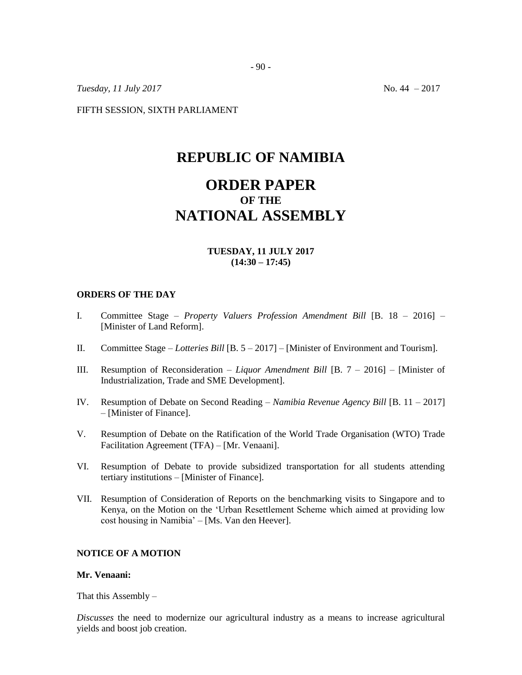*Tuesday, 11 July 2017* No. 44 – 2017

FIFTH SESSION, SIXTH PARLIAMENT

# **REPUBLIC OF NAMIBIA**

# **ORDER PAPER OF THE NATIONAL ASSEMBLY**

## **TUESDAY, 11 JULY 2017 (14:30 – 17:45)**

#### **ORDERS OF THE DAY**

- I. Committee Stage *Property Valuers Profession Amendment Bill* [B. 18 2016] [Minister of Land Reform].
- II. Committee Stage *Lotteries Bill* [B. 5 2017] [Minister of Environment and Tourism].
- III. Resumption of Reconsideration *Liquor Amendment Bill* [B. 7 2016] [Minister of Industrialization, Trade and SME Development].
- IV. Resumption of Debate on Second Reading *Namibia Revenue Agency Bill* [B. 11 2017] – [Minister of Finance].
- V. Resumption of Debate on the Ratification of the World Trade Organisation (WTO) Trade Facilitation Agreement (TFA) – [Mr. Venaani].
- VI. Resumption of Debate to provide subsidized transportation for all students attending tertiary institutions – [Minister of Finance].
- VII. Resumption of Consideration of Reports on the benchmarking visits to Singapore and to Kenya, on the Motion on the 'Urban Resettlement Scheme which aimed at providing low cost housing in Namibia' – [Ms. Van den Heever].

## **NOTICE OF A MOTION**

#### **Mr. Venaani:**

That this Assembly  $-$ 

*Discusses* the need to modernize our agricultural industry as a means to increase agricultural yields and boost job creation.